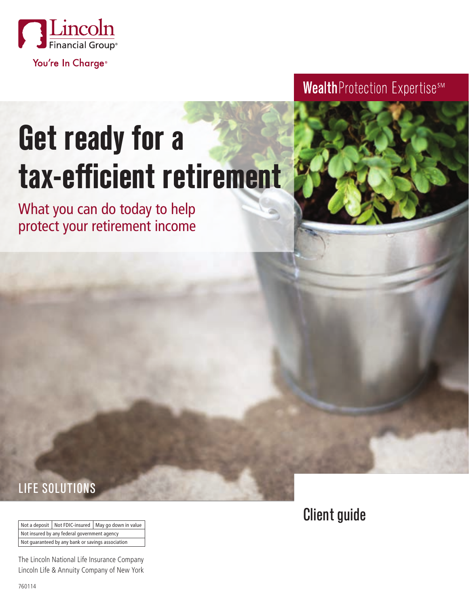

# **Get ready for a tax-efficient retirement**

What you can do today to help protect your retirement income Wealth Protection ExpertisesM

## LIFE SOLUTIONS

Not a deposit | Not FDIC-insured | May go down in value Not insured by any federal government agency Not guaranteed by any bank or savings association

The Lincoln National Life Insurance Company Lincoln Life & Annuity Company of New York Client guide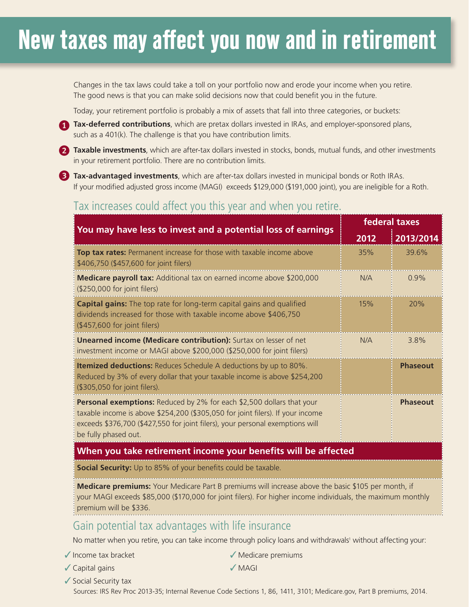# **New taxes may affect you now and in retirement**

Changes in the tax laws could take a toll on your portfolio now and erode your income when you retire. The good news is that you can make solid decisions now that could benefit you in the future.

Today, your retirement portfolio is probably a mix of assets that fall into three categories, or buckets:

**Tax-deferred contributions**, which are pretax dollars invested in IRAs, and employer-sponsored plans, such as a 401(k). The challenge is that you have contribution limits such as a 401(k). The challenge is that you have contribution limits.

**2 Taxable investments**, which are after-tax dollars invested in stocks, bonds, mutual funds, and other investments in your retirement portfolio. There are no contribution limits.

**Tax-advantaged investments**, which are after-tax dollars invested in municipal bonds or Roth IRAs. If your modified adjusted gross income (MAGI) exceeds \$129,000 (\$191,000 joint), you are ineligible for a Roth.

#### Tax increases could affect you this year and when you retire.

| You may have less to invest and a potential loss of earnings                                                                                                                                                                                                        | federal taxes |                 |  |
|---------------------------------------------------------------------------------------------------------------------------------------------------------------------------------------------------------------------------------------------------------------------|---------------|-----------------|--|
|                                                                                                                                                                                                                                                                     | 2012          | 2013/2014       |  |
| Top tax rates: Permanent increase for those with taxable income above<br>\$406,750 (\$457,600 for joint filers)                                                                                                                                                     | 35%           | 39.6%           |  |
| <b>Medicare payroll tax:</b> Additional tax on earned income above \$200,000<br>(\$250,000 for joint filers)                                                                                                                                                        | N/A           | 0.9%            |  |
| <b>Capital gains:</b> The top rate for long-term capital gains and qualified<br>dividends increased for those with taxable income above \$406,750<br>(\$457,600 for joint filers)                                                                                   | 15%           | 20%             |  |
| Unearned income (Medicare contribution): Surtax on lesser of net<br>: investment income or MAGI above \$200,000 (\$250,000 for joint filers)                                                                                                                        | N/A           | 3.8%            |  |
| <b>Itemized deductions:</b> Reduces Schedule A deductions by up to 80%.<br>Reduced by 3% of every dollar that your taxable income is above \$254,200<br>(\$305,050 for joint filers).                                                                               |               | <b>Phaseout</b> |  |
| Personal exemptions: Reduced by 2% for each \$2,500 dollars that your<br>taxable income is above \$254,200 (\$305,050 for joint filers). If your income<br>exceeds \$376,700 (\$427,550 for joint filers), your personal exemptions will<br>to be fully phased out. |               | <b>Phaseout</b> |  |

#### **When you take retirement income your benefits will be affected**

**Social Security:** Up to 85% of your benefits could be taxable.

**Medicare premiums:** Your Medicare Part B premiums will increase above the basic \$105 per month, if your MAGI exceeds \$85,000 (\$170,000 for joint filers). For higher income individuals, the maximum monthly premium will be \$336. 

#### Gain potential tax advantages with life insurance

No matter when you retire, you can take income through policy loans and withdrawals' without affecting your:

 $\sqrt{}$  Income tax bracket

 $\checkmark$  Capital gains

 $\sqrt{\ }$  Medicare premiums

 $\sqrt{MAGI}$ 

◆ Social Security tax

Sources: IRS Rev Proc 2013-35; Internal Revenue Code Sections 1, 86, 1411, 3101; Medicare.gov, Part B premiums, 2014.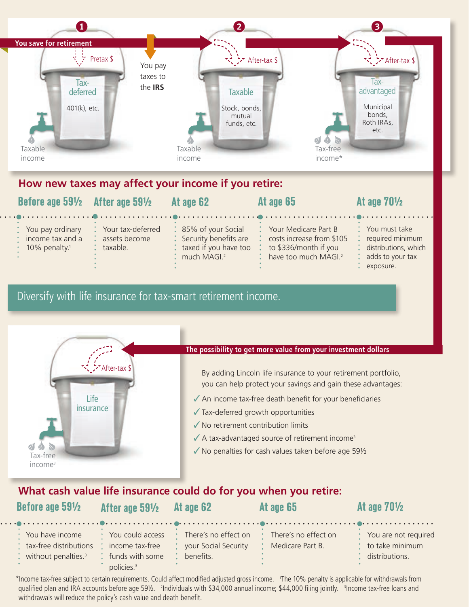

#### **How new taxes may affect your income if you retire:**

| Before age 591/2 After age 591/2                                                         |                                                | At age 62                                                                                             | At age 65                                                                                                      | At age $70\frac{1}{2}$                                                                         |
|------------------------------------------------------------------------------------------|------------------------------------------------|-------------------------------------------------------------------------------------------------------|----------------------------------------------------------------------------------------------------------------|------------------------------------------------------------------------------------------------|
| : You pay ordinary<br>$\therefore$ income tax and a<br>$\cdot$ 10% penalty. <sup>1</sup> | Your tax-deferred<br>assets become<br>taxable. | : 85% of your Social<br>: Security benefits are<br>: taxed if you have too<br>much MAGI. <sup>2</sup> | Your Medicare Part B<br>costs increase from \$105<br>to \$336/month if you<br>have too much MAGI. <sup>2</sup> | * You must take<br>required minimum<br>: distributions, which<br>adds to your tax<br>exposure. |

### Diversify with life insurance for tax-smart retirement income.



#### **What cash value life insurance could do for you when you retire:**

| Before age 591/2                                                                 | After age 591/2                                                                    | At age 62                                                 | At age 65                                | At age $70\frac{1}{2}$                                      |
|----------------------------------------------------------------------------------|------------------------------------------------------------------------------------|-----------------------------------------------------------|------------------------------------------|-------------------------------------------------------------|
| * You have income<br>tax-free distributions<br>: without penalties. <sup>3</sup> | • You could access<br>income tax-free<br>funds with some<br>policies. <sup>3</sup> | There's no effect on<br>your Social Security<br>benefits. | There's no effect on<br>Medicare Part B. | * You are not required<br>to take minimum<br>distributions. |

\*Income tax-free subject to certain requirements. Could affect modified adjusted gross income. 1 The 10% penalty is applicable for withdrawals from qualified plan and IRA accounts before age 59½. 'Individuals with \$34,000 annual income; \$44,000 filing jointly. 'Income tax-free loans and withdrawals will reduce the policy's cash value and death benefit.